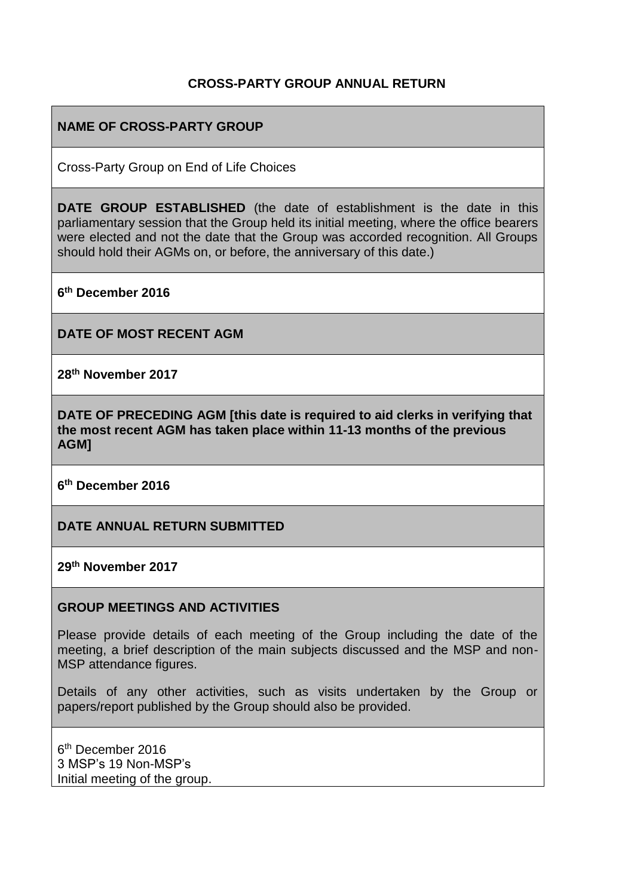#### **CROSS-PARTY GROUP ANNUAL RETURN**

#### **NAME OF CROSS-PARTY GROUP**

Cross-Party Group on End of Life Choices

**DATE GROUP ESTABLISHED** (the date of establishment is the date in this parliamentary session that the Group held its initial meeting, where the office bearers were elected and not the date that the Group was accorded recognition. All Groups should hold their AGMs on, or before, the anniversary of this date.)

**6 th December 2016**

**DATE OF MOST RECENT AGM**

**28th November 2017**

**DATE OF PRECEDING AGM [this date is required to aid clerks in verifying that the most recent AGM has taken place within 11-13 months of the previous AGM]**

**6 th December 2016**

**DATE ANNUAL RETURN SUBMITTED**

**29th November 2017**

#### **GROUP MEETINGS AND ACTIVITIES**

Please provide details of each meeting of the Group including the date of the meeting, a brief description of the main subjects discussed and the MSP and non-MSP attendance figures.

Details of any other activities, such as visits undertaken by the Group or papers/report published by the Group should also be provided.

6<sup>th</sup> December 2016 3 MSP's 19 Non-MSP's Initial meeting of the group.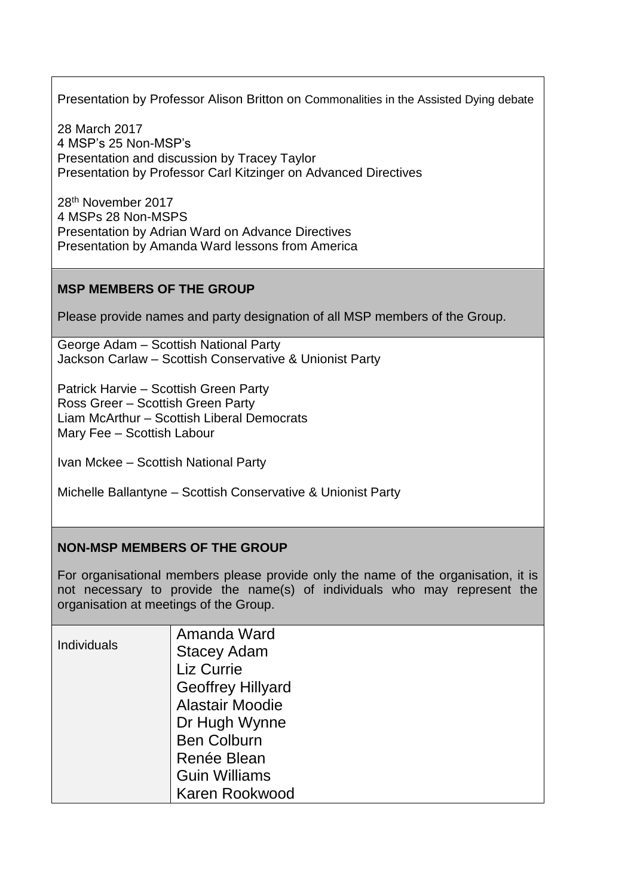Presentation by Professor Alison Britton on Commonalities in the Assisted Dying debate

28 March 2017 4 MSP's 25 Non-MSP's Presentation and discussion by Tracey Taylor Presentation by Professor Carl Kitzinger on Advanced Directives

28th November 2017 4 MSPs 28 Non-MSPS Presentation by Adrian Ward on Advance Directives Presentation by Amanda Ward lessons from America

## **MSP MEMBERS OF THE GROUP**

Please provide names and party designation of all MSP members of the Group.

George Adam – Scottish National Party Jackson Carlaw – Scottish Conservative & Unionist Party

Patrick Harvie – Scottish Green Party Ross Greer – Scottish Green Party Liam McArthur – Scottish Liberal Democrats Mary Fee – Scottish Labour

Ivan Mckee – Scottish National Party

Michelle Ballantyne – Scottish Conservative & Unionist Party

## **NON-MSP MEMBERS OF THE GROUP**

For organisational members please provide only the name of the organisation, it is not necessary to provide the name(s) of individuals who may represent the organisation at meetings of the Group.

| <b>Individuals</b> | Amanda Ward              |
|--------------------|--------------------------|
|                    | <b>Stacey Adam</b>       |
|                    | Liz Currie               |
|                    | <b>Geoffrey Hillyard</b> |
|                    | <b>Alastair Moodie</b>   |
|                    | Dr Hugh Wynne            |
|                    | <b>Ben Colburn</b>       |
|                    | Renée Blean              |
|                    | <b>Guin Williams</b>     |
|                    | Karen Rookwood           |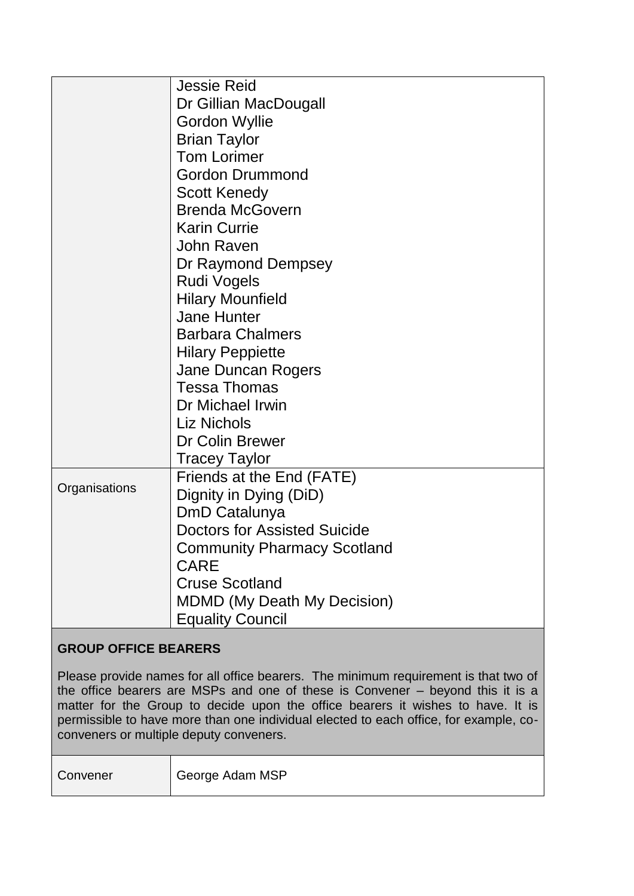| <b>Jessie Reid</b>                  |
|-------------------------------------|
| Dr Gillian MacDougall               |
| <b>Gordon Wyllie</b>                |
| <b>Brian Taylor</b>                 |
| <b>Tom Lorimer</b>                  |
| <b>Gordon Drummond</b>              |
| <b>Scott Kenedy</b>                 |
| <b>Brenda McGovern</b>              |
| <b>Karin Currie</b>                 |
| John Raven                          |
| Dr Raymond Dempsey                  |
| Rudi Vogels                         |
| <b>Hilary Mounfield</b>             |
| Jane Hunter                         |
| <b>Barbara Chalmers</b>             |
| <b>Hilary Peppiette</b>             |
| Jane Duncan Rogers                  |
| <b>Tessa Thomas</b>                 |
| Dr Michael Irwin                    |
| Liz Nichols                         |
| Dr Colin Brewer                     |
| Tracey Taylor                       |
| Friends at the End (FATE)           |
| Dignity in Dying (DiD)              |
| DmD Catalunya                       |
| <b>Doctors for Assisted Suicide</b> |
| <b>Community Pharmacy Scotland</b>  |
| <b>CARE</b>                         |
| <b>Cruse Scotland</b>               |
| <b>MDMD (My Death My Decision)</b>  |
| <b>Equality Council</b>             |
|                                     |

# **GROUP OFFICE BEARERS**

Please provide names for all office bearers. The minimum requirement is that two of the office bearers are MSPs and one of these is Convener – beyond this it is a matter for the Group to decide upon the office bearers it wishes to have. It is permissible to have more than one individual elected to each office, for example, coconveners or multiple deputy conveners.

Convener | George Adam MSP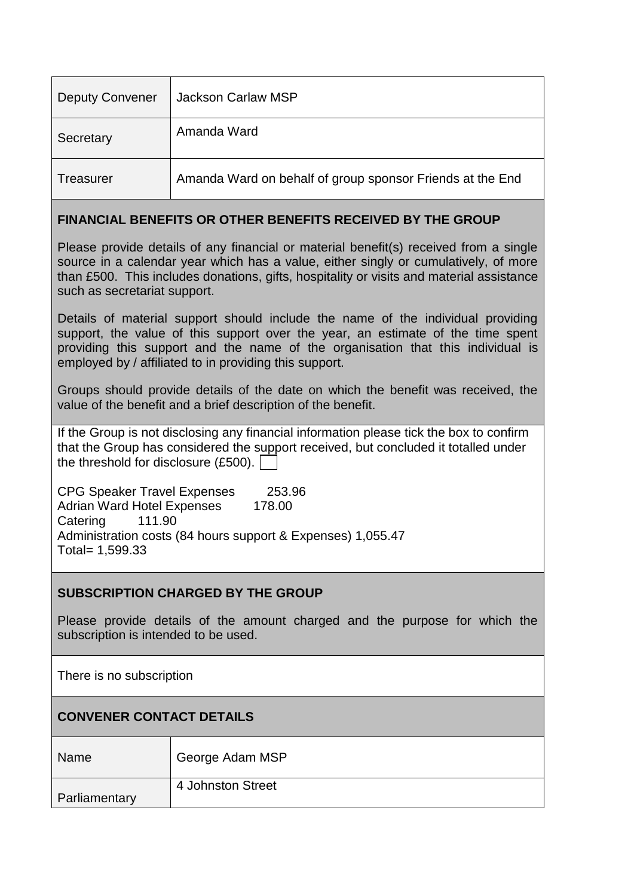| <b>Deputy Convener</b> | Jackson Carlaw MSP                                        |
|------------------------|-----------------------------------------------------------|
| Secretary              | Amanda Ward                                               |
| Treasurer              | Amanda Ward on behalf of group sponsor Friends at the End |

#### **FINANCIAL BENEFITS OR OTHER BENEFITS RECEIVED BY THE GROUP**

Please provide details of any financial or material benefit(s) received from a single source in a calendar year which has a value, either singly or cumulatively, of more than £500. This includes donations, gifts, hospitality or visits and material assistance such as secretariat support.

Details of material support should include the name of the individual providing support, the value of this support over the year, an estimate of the time spent providing this support and the name of the organisation that this individual is employed by / affiliated to in providing this support.

Groups should provide details of the date on which the benefit was received, the value of the benefit and a brief description of the benefit.

If the Group is not disclosing any financial information please tick the box to confirm that the Group has considered the support received, but concluded it totalled under the threshold for disclosure (£500).

CPG Speaker Travel Expenses 253.96 Adrian Ward Hotel Expenses 178.00 Catering 111.90 Administration costs (84 hours support & Expenses) 1,055.47 Total= 1,599.33

## **SUBSCRIPTION CHARGED BY THE GROUP**

Please provide details of the amount charged and the purpose for which the subscription is intended to be used.

There is no subscription

| <b>CONVENER CONTACT DETAILS</b> |                   |  |
|---------------------------------|-------------------|--|
| Name                            | George Adam MSP   |  |
| Parliamentary                   | 4 Johnston Street |  |